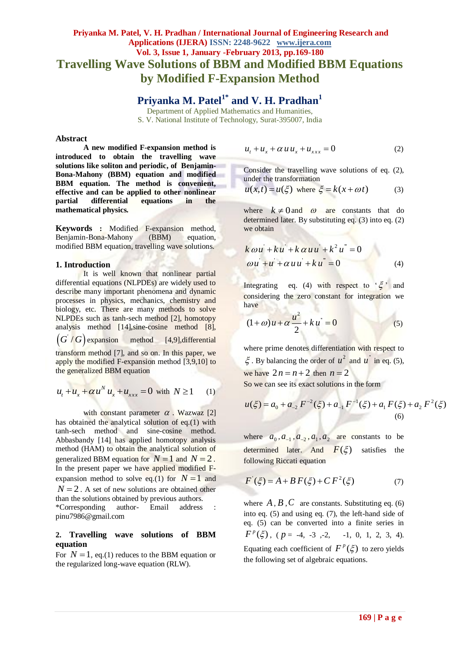## **Priyanka M. Patel, V. H. Pradhan / International Journal of Engineering Research and Applications (IJERA) ISSN: 2248-9622 www.ijera.com Vol. 3, Issue 1, January -February 2013, pp.169-180 Travelling Wave Solutions of BBM and Modified BBM Equations by Modified F-Expansion Method**

**Priyanka M. Patel1\* and V. H. Pradhan<sup>1</sup>**

Department of Applied Mathematics and Humanities, S. V. National Institute of Technology, Surat-395007, India

#### **Abstract**

**A new modified F-expansion method is introduced to obtain the travelling wave solutions like soliton and periodic, of Benjamin-Bona-Mahony (BBM) equation and modified BBM equation. The method is convenient, effective and can be applied to other nonlinear partial differential equations in the mathematical physics.**

**Keywords :** Modified F-expansion method, Benjamin-Bona-Mahony (BBM) equation, modified BBM equation, travelling wave solutions.

#### **1. Introduction**

It is well known that nonlinear partial differential equations (NLPDEs) are widely used to describe many important phenomena and dynamic processes in physics, mechanics, chemistry and biology, etc. There are many methods to solve NLPDEs such as tanh-sech method [2], homotopy analysis method [14],sine-cosine method [8],  $(G'/G)$  expansion method [4,9], differential transform method [7], and so on. In this paper, we apply the modified F-expansion method [3,9,10] to the generalized BBM equation

$$
u_t + u_x + \alpha u^N u_x + u_{xxx} = 0 \text{ with } N \ge 1 \qquad (1)
$$

with constant parameter  $\alpha$ . Wazwaz [2] has obtained the analytical solution of eq.(1) with tanh-sech method and sine-cosine method. Abbasbandy [14] has applied homotopy analysis method (HAM) to obtain the analytical solution of generalized BBM equation for  $N = 1$  and  $N = 2$ . In the present paper we have applied modified Fexpansion method to solve eq.(1) for  $N = 1$  and  $N = 2$ . A set of new solutions are obtained other than the solutions obtained by previous authors. \*Corresponding author- Email address : pinu7986@gmail.com

#### **2. Travelling wave solutions of BBM equation**

For  $N = 1$ , eq.(1) reduces to the BBM equation or the regularized long-wave equation (RLW).

$$
u_t + u_x + \alpha u u_x + u_{xxx} = 0 \tag{2}
$$

Consider the travelling wave solutions of eq. (2), under the transformation

$$
u(x,t) = u(\xi) \text{ where } \xi = k(x + \omega t) \tag{3}
$$

where  $k \neq 0$  and  $\omega$  are constants that do determined later. By substituting eq. (3) into eq. (2) we obtain

$$
k\omega u^{2} + k u^{2} + k \alpha u u^{2} + k^{2} u^{2} = 0
$$
  
\n
$$
\omega u^{2} + u^{2} + \alpha u u^{2} + k u^{2} = 0
$$
\n(4)

Integrating eq.  $(4)$  with respect to  $\xi$ ' and considering the zero constant for integration we have

$$
(1+\omega)u+\alpha\frac{u^2}{2}+ku^*=0
$$
 (5)

where prime denotes differentiation with respect to  $\zeta$ . By balancing the order of  $u^2$  and  $u^{\dagger}$  in eq. (5), we have  $2n = n + 2$  then  $n = 2$ So we can see its exact solutions in the form

 $^{2}(\mathcal{E})+a$ ,  $F^{-1}(\mathcal{E})+a$ ,  $F(\mathcal{E})+a$ ,  $F^{2}$ So we can see its exact solutions in the form<br> $u(\xi) = a_0 + a_{-2} F^{-2}(\xi) + a_{-1} F^{-1}(\xi) + a_1 F(\xi) + a_2 F^2(\xi)$ (6)

where  $a_0$ ,  $a_{-1}$ ,  $a_{-2}$ ,  $a_1$ ,  $a_2$  are constants to be determined later. And  $F(\xi)$  satisfies the following Riccati equation

$$
F^{'}(\xi) = A + BF(\xi) + CF^{2}(\xi)
$$
 (7)

where  $A$ ,  $B$ ,  $C$  are constants. Substituting eq. (6) into eq. (5) and using eq. (7), the left-hand side of eq. (5) can be converted into a finite series in  $F^p(\xi)$ , ( $p = -4, -3, -2, -1, 0, 1, 2, 3, 4$ ). Equating each coefficient of  $F^p(\xi)$  to zero yields the following set of algebraic equations.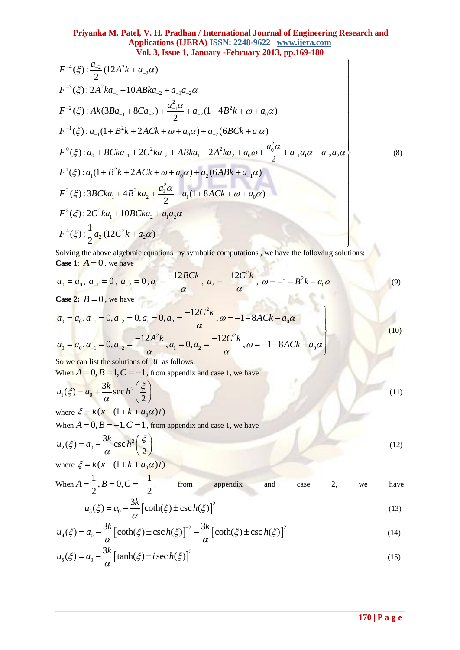## **Priyanka M. Patel, V. H. Pradhan / International Journal of Engineering Research and Applications (IJERA) ISSN: 2248-9622 www.ijera.com Vol. 3, Issue 1, January -February 2013, pp.169-180 Application 12 11 Application**<br> **Application**<br> **Vol. 3**<br>  $(\xi) : \frac{a_{-2}}{2} (12A^2k + a_{-2}\alpha)$ Priyanka M. Patel, V. H. Pradnah<br>Applications (IJER<br>Vol. 3, Issue 1, Ja<br> $\xi$ ):  $\frac{a_{-2}}{2}(12A^2k + a_{-2}\alpha)$

4 2 <sup>2</sup> 2 3 2 1 2 1 2 2 2 2 <sup>1</sup> 1 2 2 0 1 2 1 0 2 1 2 0 2 2 <sup>0</sup> 0 1 2 1 2 0 1 1 2 2 ( ) : 2 10 ( ) : (3 8 ) (1 4 ) 2 ( ) : (1 2 ) (6 ) ( ) : 2 2 2 *a F A k a F A ka ABka a a a F Ak Ba Ca a B k a F a B k ACk a a BCk a a F a BCka C ka ABka A ka a a a a* <sup>2</sup> 1 2 1 0 2 1 2 2 2 <sup>1</sup> 1 2 1 0 3 2 1 2 1 2 4 2 2 2 ( ) : (1 2 ) (6 ) ( ) : 3 4 (1 8 ) 2 ( ) : 2 10 1 ( ) : (12 ) 2 *a F a B k ACk a a ABk a a F BCka B ka a ACk a F C ka BCka a a F a C k a* (8)

Solving the above algebraic equations by symbolic computations, we have the following solutions: **Case 1:**  $A = 0$ , we have

$$
a_0 = a_0, \ a_{-1} = 0, \ a_{-2} = 0, \ a_1 = \frac{-12BCk}{\alpha}, \ a_2 = \frac{-12C^2k}{\alpha}, \ \omega = -1 - B^2k - a_0\alpha
$$
\n<sup>(9)</sup>

**Case 2:**  $B = 0$ , we have

$$
a_0 = a_0, a_{-1} = 0, a_{-2} = 0, a_1 = \frac{12 \times 20}{\alpha}, a_2 = \frac{12 \times 20}{\alpha}, \omega = -1 - B^2 k - a_0 \alpha
$$
  
\nCase 2:  $B = 0$ , we have  
\n
$$
a_0 = a_0, a_{-1} = 0, a_{-2} = 0, a_1 = 0, a_2 = \frac{-12 C^2 k}{\alpha}, \omega = -1 - 8ACk - a_0 \alpha
$$
\n
$$
a_0 = a_0, a_{-1} = 0, a_{-2} = \frac{-12 A^2 k}{\alpha}, a_1 = 0, a_2 = \frac{-12 C^2 k}{\alpha}, \omega = -1 - 8ACk - a_0 \alpha
$$
\nSo we can list the solutions of  $u$  as follows:

So we can list the solutions of  $u$  as follows:

When  $A = 0$ ,  $B = 1$ ,  $C = -1$ , from appendix and case 1, we have

$$
u_1(\xi) = a_0 + \frac{3k}{\alpha} \sec h^2 \left(\frac{\xi}{2}\right)
$$
  
where  $\xi = k(x - (1 + k + a_0 \alpha)t)$  (11)

When  $A = 0, B = -1, C = 1$ , from appendix and case 1, we have

$$
u_2(\xi) = a_0 - \frac{3k}{\alpha} \csc h^2\left(\frac{\xi}{2}\right)
$$
  
where  $\xi = k(x - (1 + k + a_0 \alpha)t)$  (12)

When 
$$
A = \frac{1}{2}
$$
,  $B = 0$ ,  $C = -\frac{1}{2}$ , from appendix and case 2, we have

$$
u_3(\xi) = a_0 - \frac{3k}{\alpha} \left[ \coth(\xi) \pm \csc h(\xi) \right]^2 \tag{13}
$$

$$
u_3(\xi) = a_0 - \frac{3k}{\alpha} \left[ \coth(\xi) \pm \csc h(\xi) \right]^2
$$
\n
$$
u_4(\xi) = a_0 - \frac{3k}{\alpha} \left[ \coth(\xi) \pm \csc h(\xi) \right]^{-2} - \frac{3k}{\alpha} \left[ \coth(\xi) \pm \csc h(\xi) \right]^2
$$
\n
$$
u_4(\xi) = a_0 - \frac{3k}{\alpha} \left[ \coth(\xi) \pm \csc h(\xi) \right]^{-2}
$$
\n
$$
(14)
$$

$$
u_{5}(\xi) = a_{0} - \frac{3k}{\alpha} \left[ \tanh(\xi) \pm i \sec h(\xi) \right]^{2}
$$
 (15)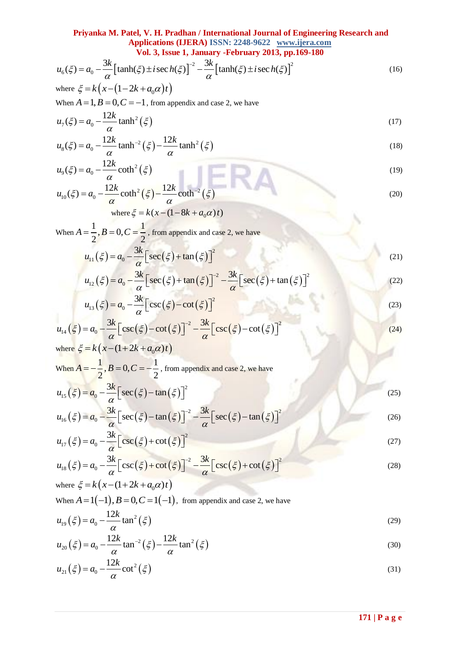# **Priyanka M. Patel, V. H. Pradhan / International Journal of Engineering Research and Applications (IJERA) ISSN: 2248-9622 www.ijera.com**

111yanka W. I det, V. II. I raduan / Interladional 3001 hal of Engineering Research and Applications (IJERA) ISSN: 2248-9622 www.ijera.com  
\nVol. 3, Issue 1, January -February 2013, pp.169-180

\n
$$
u_6(\xi) = a_0 - \frac{3k}{\alpha} \left[ \tanh(\xi) \pm i \sec h(\xi) \right]^{-2} - \frac{3k}{\alpha} \left[ \tanh(\xi) \pm i \sec h(\xi) \right]^2
$$
\nwhere 
$$
\xi = k \left( x - (1 - 2k + a_0 \alpha)t \right)
$$

\n(16)

where 
$$
\zeta = \kappa \left( \lambda - (1 - 2\kappa + a_0 \alpha) t \right)
$$
  
When  $A = 1$ ,  $B = 0$ ,  $C = -1$ , from appendix and case 2, we have

$$
u_7(\xi) = a_0 - \frac{12k}{\alpha} \tanh^2(\xi)
$$
\n(17)

$$
u_7(\xi) = a_0 - \frac{12k}{\alpha} \tanh(\xi)
$$
\n
$$
u_8(\xi) = a_0 - \frac{12k}{\alpha} \tanh^2(\xi) - \frac{12k}{\alpha} \tanh^2(\xi)
$$
\n(18)

$$
u_{\alpha}(\xi) = a_{0} - \frac{v_{0}}{\alpha} \left[ \tanh(\xi) \pm i \sec h(\xi) \right] - \frac{v_{0}}{\alpha} \left[ \tanh(\xi) \pm i \sec h(\xi) \right]
$$
(16)  
\nwhere  $\xi = k(x - (1 - 2k + a_{0}\alpha)t)$   
\nWhen  $A = 1, B = 0, C = -1$ , from appendix and case 2, we have  
\n $u_{\gamma}(\xi) = a_{0} - \frac{12k}{\alpha} \tanh^{2}(\xi)$   
\n $u_{\alpha}(\xi) = a_{0} - \frac{12k}{\alpha} \tanh^{2}(\xi) - \frac{12k}{\alpha} \tanh^{2}(\xi)$   
\n $u_{\beta}(\xi) = a_{0} - \frac{12k}{\alpha} \coth^{2}(\xi)$   
\n $u_{\beta}(\xi) = a_{0} - \frac{12k}{\alpha} \coth^{2}(\xi) - \frac{12k}{\alpha} \coth^{2}(\xi)$   
\n $u_{\alpha}(\xi) = a_{0} - \frac{12k}{\alpha} \cot^{2}(\xi) - \frac{12k}{\alpha} \cot^{2}(\xi)$   
\n $u_{\alpha}(\xi) = a_{0} - \frac{3k}{\alpha} [\sec(\xi) + \tan(\xi)]^{2}$   
\n $u_{12}(\xi) = a_{0} - \frac{3k}{\alpha} [\csc(\xi) - \cot(\xi)]^{2}$   
\n $u_{13}(\xi) = a_{0} - \frac{3k}{\alpha} [\csc(\xi) - \cot(\xi)]^{2}$   
\n $u_{14}(\xi) = a_{0} - \frac{3k}{\alpha} [\csc(\xi) - \cot(\xi)]^{2}$   
\n $u_{15}(\xi) = a_{0} - \frac{3k}{\alpha} [\csc(\xi) - \cot(\xi)]^{2}$   
\n $u_{16}(\xi) = a_{0} - \frac{3k}{\alpha} [\csc(\xi) - \cot(\xi)]^{2}$   
\n $u_{18}(\xi) = a_{0} - \frac{3k}{\alpha} [\csc(\xi) - \cot(\xi)]^{2}$   
\n $u_{19}(\xi) = a_{0} - \frac{3k}{\alpha} [\csc(\$ 

where 
$$
\xi = k(x - (1 - 8k + a_0 \alpha)t)
$$

When  $A = \frac{1}{2}$ ,  $B = 0$ ,  $C = \frac{1}{2}$  $\frac{1}{2}$ ,  $\frac{1}{2}$  – 0, c –  $\frac{1}{2}$  $A = \frac{1}{2}$ ,  $B = 0$ ,  $C = \frac{1}{2}$ , from appendix and case 2, we have

$$
u_{11}(\xi) = a_0 - \frac{3k}{\alpha} \left[ \sec(\xi) + \tan(\xi) \right]^2
$$
  
\n
$$
u_{12}(\xi) = a_0 - \frac{3k}{\alpha} \left[ \sec(\xi) + \tan(\xi) \right]^2 - \frac{3k}{\alpha} \left[ \sec(\xi) + \tan(\xi) \right]^2
$$
\n(21)

$$
u_{11}(\xi) = a_0 - \frac{3\kappa}{\alpha} \left[ \sec(\xi) + \tan(\xi) \right]^2
$$
\n
$$
u_{12}(\xi) = a_0 - \frac{3\kappa}{\alpha} \left[ \sec(\xi) + \tan(\xi) \right]^{2} - \frac{3\kappa}{\alpha} \left[ \sec(\xi) + \tan(\xi) \right]^{2}
$$
\n(22)

$$
u_{13}(\xi) = a_0 - \frac{3k}{\alpha} \left[ \csc(\xi) - \cot(\xi) \right]^2
$$
\n
$$
\xi = a_0 - \frac{3k}{\alpha} \left[ \csc(\xi) - \cot(\xi) \right]^2 - \frac{3k}{\alpha} \left[ \csc(\xi) - \cot(\xi) \right]^2
$$
\n(24)

$$
u_{13}(\xi) = a_0 - \frac{3\kappa}{\alpha} \left[ \csc(\xi) - \cot(\xi) \right]^2
$$
\n
$$
u_{14}(\xi) = a_0 - \frac{3\kappa}{\alpha} \left[ \csc(\xi) - \cot(\xi) \right]^{-2} - \frac{3\kappa}{\alpha} \left[ \csc(\xi) - \cot(\xi) \right]^2
$$
\n(24)

where  $\xi = k(x - (1 + 2k + a_0 \alpha)t)$ When  $A = -\frac{1}{2}$ ,  $B = 0$ ,  $C = -\frac{1}{2}$  $A = -\frac{1}{2}$ ,  $B = 0$ ,  $C = -\frac{1}{2}$ , from appendix and case 2, we have

When 
$$
A = -\frac{1}{2}
$$
,  $B = 0$ ,  $C = -\frac{1}{2}$ , from appendix and case 2, we have  
\n
$$
u_{15}(\xi) = a_0 - \frac{3k}{\alpha} \Big[ \sec(\xi) - \tan(\xi) \Big]^2
$$
\n(25)  
\n
$$
u_{16}(\xi) = a_0 - \frac{3k}{\alpha} \Big[ \sec(\xi) - \tan(\xi) \Big]^{2} - \frac{3k}{\alpha} \Big[ \sec(\xi) - \tan(\xi) \Big]^{2}
$$
\n(26)

$$
u_{15}(\xi) = a_0 - \frac{3\kappa}{\alpha} \left[ \sec(\xi) - \tan(\xi) \right]^2
$$
\n
$$
u_{16}(\xi) = a_0 - \frac{3k}{\alpha} \left[ \sec(\xi) - \tan(\xi) \right]^2 - \frac{3k}{\alpha} \left[ \sec(\xi) - \tan(\xi) \right]^2
$$
\n(26)

$$
u_{17}(\xi) = a_0 - \frac{3k}{\alpha} \left[ \csc(\xi) + \cot(\xi) \right]^2
$$
\n
$$
u_{18}(\xi) = a_0 - \frac{3k}{\alpha} \left[ \csc(\xi) + \cot(\xi) \right]^2 - \frac{3k}{\alpha} \left[ \csc(\xi) + \cot(\xi) \right]^2
$$
\n(28)

$$
u_{18}(\xi) = a_0 - \frac{3k}{\alpha} \left[ \csc(\xi) + \cot(\xi) \right]^{-2} - \frac{3k}{\alpha} \left[ \csc(\xi) + \cot(\xi) \right]^2
$$
  
where  $\xi = k(x - (1 + 2k + a_0 \alpha)t)$  (28)

When  $A = 1(-1)$ ,  $B = 0$ ,  $C = 1(-1)$ , from appendix and case 2, we have

$$
u_{19}(\xi) = a_0 - \frac{12k}{\alpha} \tan^2(\xi)
$$
\n(29)

$$
u_{19}(\xi) = u_0 - \frac{12k}{\alpha} \tan(\xi)
$$
\n
$$
u_{20}(\xi) = a_0 - \frac{12k}{\alpha} \tan^{-2}(\xi) - \frac{12k}{\alpha} \tan^2(\xi)
$$
\n(30)

$$
u_{21}(\xi) = a_0 - \frac{12k}{\alpha} \cot^2(\xi)
$$
\n(31)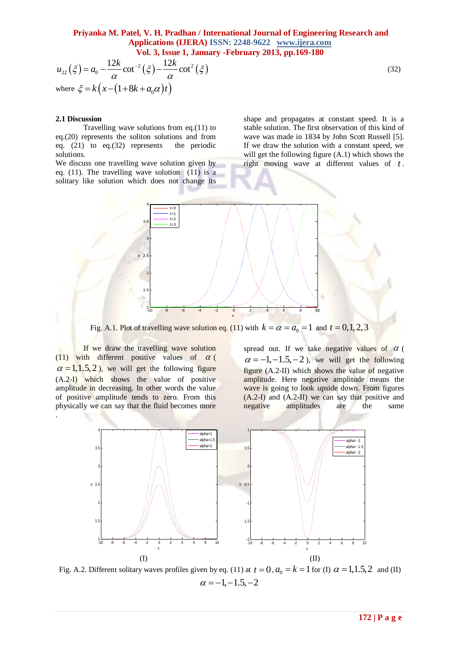# **Priyanka M. Patel, V. H. Pradhan / International Journal of Engineering Research and Applications (IJERA) ISSN: 2248-9622 www.ijera.com**

$$
u_{22}(\xi) = a_0 - \frac{12k}{\alpha} \cot^2(\xi) - \frac{12k}{\alpha} \cot^2(\xi)
$$
\n
$$
\text{where } \xi = k\left(x - (1 + 8k + a_0\alpha)t\right)
$$
\n(32)

#### **2.1 Discussion**

Travelling wave solutions from eq.(11) to eq.(20) represents the soliton solutions and from eq. (21) to eq.(32) represents the periodic solutions.

We discuss one travelling wave solution given by eq. (11). The travelling wave solution (11) is a solitary like solution which does not change its shape and propagates at constant speed. It is a stable solution. The first observation of this kind of wave was made in 1834 by John Scott Russell [5]. If we draw the solution with a constant speed, we will get the following figure (A.1) which shows the right moving wave at different values of *t* .



Fig. A.1. Plot of travelling wave solution eq. (11) with  $k = \alpha = a_0 = 1$  and  $t = 0, 1, 2, 3$ 

If we draw the travelling wave solution (11) with different positive values of  $\alpha$  (  $\alpha = 1, 1.5, 2$ , we will get the following figure (A.2-I) which shows the value of positive amplitude in decreasing. In other words the value of positive amplitude tends to zero. From this physically we can say that the fluid becomes more .

spread out. If we take negative values of  $\alpha$  $\alpha = -1, -1.5, -2$ , we will get the following figure (A.2-II) which shows the value of negative amplitude. Here negative amplitude means the wave is going to look upside down. From figures (A.2-I) and (A.2-II) we can say that positive and negative amplitudes are the same



Fig. A.2. Different solitary waves profiles given by eq. (11) at  $t = 0$ ,  $a_0 = k = 1$  for (I)  $\alpha = 1, 1.5, 2$  and (II)  $\alpha = -1, -1.5, -2$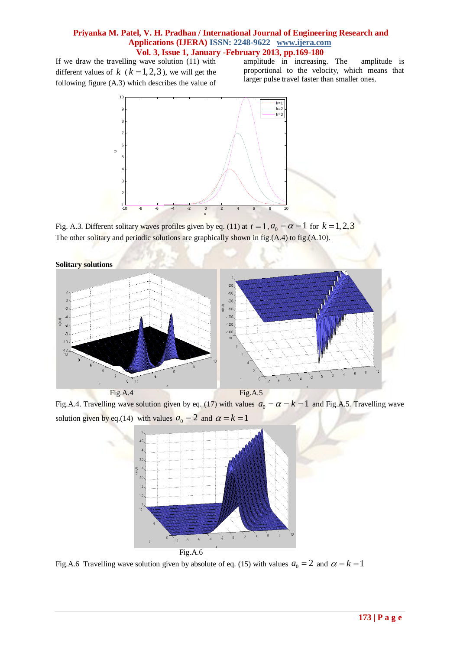If we draw the travelling wave solution (11) with different values of  $k$  ( $k = 1, 2, 3$ ), we will get the following figure (A.3) which describes the value of

amplitude in increasing. The amplitude is proportional to the velocity, which means that larger pulse travel faster than smaller ones.



Fig. A.3. Different solitary waves profiles given by eq. (11) at  $t = 1$ ,  $a_0 = \alpha = 1$  for  $k = 1, 2, 3$ The other solitary and periodic solutions are graphically shown in fig.(A.4) to fig.(A.10).



Fig.A.4. Travelling wave solution given by eq. (17) with values  $a_0 = \alpha = k = 1$  and Fig.A.5. Travelling wave solution given by eq.(14) with values  $a_0 = 2$  and  $\alpha = k = 1$ 



Fig.A.6 Travelling wave solution given by absolute of eq. (15) with values  $a_0 = 2$  and  $\alpha = k = 1$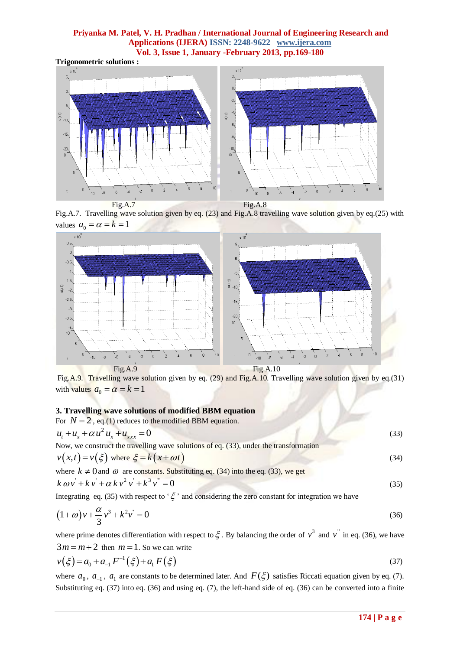**Trigonometric solutions :**



Fig.A.7. Travelling wave solution given by eq. (23) and Fig.A.8 travelling wave solution given by eq.(25) with



Fig.A.9. Travelling wave solution given by eq. (29) and Fig.A.10. Travelling wave solution given by eq.(31) with values  $a_0 = \alpha = k = 1$ 

### **3. Travelling wave solutions of modified BBM equation**

For 
$$
N = 2
$$
, eq.(1) reduces to the modified BBM equation.  
\n $u_t + u_x + \alpha u^2 u_x + u_{xxx} = 0$  (33)  
\nNow, we construct the travelling wave solutions of eq. (33), under the transformation

Now, we consider the traveling wave solutions of eq. (33), under the transformation  

$$
v(x,t) = v(\xi)
$$
 where  $\xi = k(x + \omega t)$  (34)

where 
$$
k \neq 0
$$
 and  $\omega$  are constants. Substituting eq. (34) into the eq. (33), we get  
\n $k \omega v' + k v' + \alpha k v^2 v' + k^3 v'' = 0$  (35)

Integrating eq. (35) with respect to ' $\xi$ ' and considering the zero constant for integration we have

$$
(1+\omega)v + \frac{\alpha}{3}v^3 + k^2v^* = 0
$$
\n(36)

where prime denotes differentiation with respect to  $\xi$ . By balancing the order of  $v^3$  and  $v'$  in eq. (36), we have

$$
3m = m + 2 \text{ then } m = 1. \text{ So we can write}
$$
  

$$
v(\xi) = a_0 + a_{-1} F^{-1}(\xi) + a_1 F(\xi)
$$
 (37)

where  $a_0$ ,  $a_{-1}$ ,  $a_1$  are constants to be determined later. And  $F(\xi)$  satisfies Riccati equation given by eq. (7). Substituting eq. (37) into eq. (36) and using eq. (7), the left-hand side of eq. (36) can be converted into a finite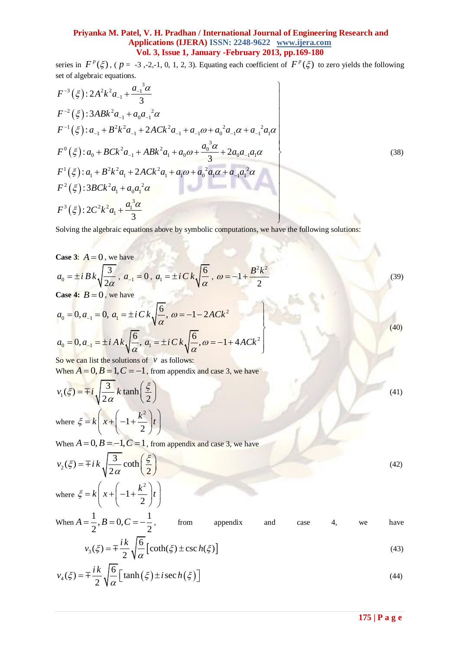series in  $F^p(\xi)$ , ( $p = -3, -2, -1, 0, 1, 2, 3$ ). Equating each coefficient of  $F^p(\xi)$  to zero yields the following

serts in T (g), (p = 3, 2, 1, 0, 1, 2, 3). Equating each coefficient of T (g) to zero  
\nset of algebraic equations.  
\n
$$
F^{-3}(\xi): 2A^2k^2a_{-1} + \frac{a_{-1}^3\alpha}{3}
$$
\n
$$
F^{-2}(\xi): 3ABk^2a_{-1} + a_0a_{-1}^2\alpha
$$
\n
$$
F^{-1}(\xi): a_{-1} + B^2k^2a_{-1} + 2ACk^2a_{-1} + a_{-1}\omega + a_0^2a_{-1}\alpha + a_{-1}^2a_1\alpha
$$
\n
$$
F^0(\xi): a_0 + BCk^2a_{-1} + ABk^2a_1 + a_0\omega + \frac{a_0^3\alpha}{3} + 2a_0a_{-1}a_1\alpha
$$
\n
$$
F^1(\xi): a_1 + B^2k^2a_1 + 2ACk^2a_1 + a_1\omega + a_0^2a_1\alpha + a_{-1}a_1^2\alpha
$$
\n
$$
F^2(\xi): 3BCk^2a_1 + a_0a_1^2\alpha
$$
\n
$$
F^3(\xi): 2C^2k^2a_1 + \frac{a_1^3\alpha}{3}
$$

Solving the algebraic equations above by symbolic computations, we have the following solutions:

Case 3: 
$$
A = 0
$$
, we have  
\n $a_0 = \pm i B k \sqrt{\frac{3}{2\alpha}}$ ,  $a_{-1} = 0$ ,  $a_1 = \pm i C k \sqrt{\frac{6}{\alpha}}$ ,  $\omega = -1 + \frac{B^2 k^2}{2}$   
\nCase 4:  $B = 0$ , we have  
\n $a_0 = 0, a_{-1} = 0$ ,  $a_1 = \pm i C k \sqrt{\frac{6}{\alpha}}$ ,  $\omega = -1 - 2ACk^2$  (39)

$$
a_0 = 0, a_{-1} = 0, a_1 = \pm i C k \sqrt{\frac{6}{\alpha}}, \omega = -1 - 2ACk^2
$$
  
\n
$$
a_0 = 0, a_{-1} = \pm i A k \sqrt{\frac{6}{\alpha}}, a_1 = \pm i C k \sqrt{\frac{6}{\alpha}}, \omega = -1 + 4ACk^2
$$
\n(40)

So we can list the solutions of  $\nu$  as follows:

When  $A = 0, B = 1, C = -1$ , from appendix and case 3, we have

$$
v_1(\xi) = \pm i \sqrt{\frac{3}{2\alpha}} k \tanh\left(\frac{\xi}{2}\right)
$$
  
\nwhere  $\xi = k \left(x + \left(-1 + \frac{k^2}{2}\right)t\right)$   
\nWhen  $A = 0, B = -1, C = 1$ , from appendix and case 3, we have  
\n
$$
v_2(\xi) = \pm i k \sqrt{\frac{3}{2\alpha}} \coth\left(\frac{\xi}{2}\right)
$$
\n(42)

$$
v_2(\xi) = \pm i k \sqrt{\frac{3}{2\alpha}} \coth\left(\frac{\xi}{2}\right)
$$
  
where  $\xi = k \left(x + \left(-1 + \frac{k^2}{2}\right)t\right)$  (42)

When 
$$
A = \frac{1}{2}
$$
,  $B = 0$ ,  $C = -\frac{1}{2}$ , from appendix and case 4, we have  
\n
$$
v_3(\xi) = \pm \frac{ik}{2} \sqrt{\frac{6}{\alpha}} \left[ \coth(\xi) \pm \csch(\xi) \right]
$$
\n(43)

$$
v_4(\xi) = \pm \frac{ik}{2} \sqrt{\frac{6}{\alpha}} \Big[ \tanh(\xi) \pm i \sec h(\xi) \Big]
$$
\n(44)

(38)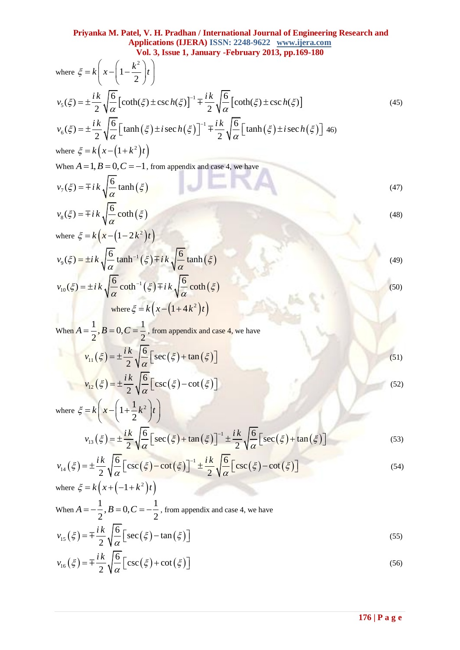where 
$$
\xi = k\left(x - \left(1 - \frac{k^2}{2}\right)t\right)
$$
  
\n $v_s(\xi) = \pm \frac{i k}{2} \sqrt{\frac{6}{\alpha}} \left[\coth(\xi) \pm \csc h(\xi)\right]^{-1} \pm \frac{i k}{2} \sqrt{\frac{6}{\alpha}} \left[\coth(\xi) \pm \csc h(\xi)\right]$  (45)  
\n $v_s(\xi) = \pm \frac{i k}{2} \sqrt{\frac{6}{\alpha}} \left[\tanh(\xi) \pm i \sec h(\xi)\right]^{-1} \pm \frac{i k}{2} \sqrt{\frac{6}{\alpha}} \left[\tanh(\xi) \pm i \sec h(\xi)\right]$  (46)  
\nwhere  $\xi = k\left(x - (1 + k^2)t\right)$   
\nWhen  $A = 1, B = 0, C = -1$ , from appendix and case 4, we have  
\n $v_s(\xi) = \mp i k \sqrt{\frac{6}{\alpha}} \tanh(\xi)$   
\n $v_s(\xi) = \pm i k \sqrt{\frac{6}{\alpha}} \coth^{-1}(\xi) \mp i k \sqrt{\frac{6}{\alpha}} \tanh(\xi)$   
\n $v_{0}(\xi) = \pm i k \sqrt{\frac{6}{\alpha}} \left[\tanh^{-1}(\xi) \mp i k \sqrt{\frac{6}{\alpha}} \tanh(\xi)$   
\n $v_{10}(\xi) = \pm i k \sqrt{\frac{6}{\alpha}} \left[\tanh^{-1}(\xi) \mp i k \sqrt{\frac{6}{\alpha}} \tanh(\xi)\right]$   
\nWhen  $A = \frac{1}{2}, B = 0, C = \frac{1}{2}$ , from appendix and case 4, we have  
\n $v_{11}(\xi) = \pm \frac{i k}{2} \sqrt{\frac{6}{\alpha}} \left[\sec(\xi) - \cot(\xi)\right]$   
\nwhere  $\xi = k\left(x - \left(1 + \frac{1}{2}k^2\right)t\right)$   
\n $v_{12}(\xi) = \pm \frac{i k}{2} \sqrt{\frac{6}{\alpha}} \left[\csc(\xi) - \cot(\xi)\right]^{-1} \pm \frac{i k}{2} \sqrt{\frac{6}{\alpha}} \left[\sec(\xi) + \tan(\xi)\right]$   
\n $v_{13}(\xi) = \pm \frac{i k}{2} \sqrt{\frac{6}{\alpha}} \left[\csc(\xi) - \cot(\xi)\right]^{-1} \pm \frac{i$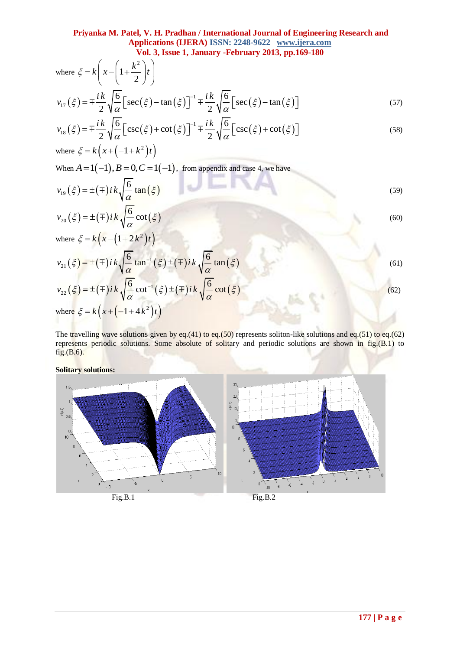where 
$$
\xi = k\left(x - \left(1 + \frac{k^2}{2}\right)t\right)
$$
  
\n
$$
v_{17}(\xi) = \pm \frac{ik}{2} \sqrt{\frac{6}{\alpha}} \left[\sec(\xi) - \tan(\xi)\right]^{-1} \pm \frac{ik}{2} \sqrt{\frac{6}{\alpha}} \left[\sec(\xi) - \tan(\xi)\right]
$$
\n
$$
v_{18}(\xi) = \pm \frac{ik}{2} \sqrt{\frac{6}{\alpha}} \left[\csc(\xi) + \cot(\xi)\right]^{-1} \pm \frac{ik}{2} \sqrt{\frac{6}{\alpha}} \left[\csc(\xi) + \cot(\xi)\right]
$$
\n(58)

$$
v_{17}(\xi) = \pm \frac{\pi}{2} \sqrt{\frac{2}{\alpha}} \left[ \sec(\xi) - \tan(\xi) \right]^{-1} \pm \frac{\pi}{2} \sqrt{\frac{2}{\alpha}} \left[ \sec(\xi) - \tan(\xi) \right]
$$
(57)  

$$
v_{18}(\xi) = \pm \frac{ik}{2} \sqrt{\frac{6}{\alpha}} \left[ \csc(\xi) + \cot(\xi) \right]^{-1} \pm \frac{ik}{2} \sqrt{\frac{6}{\alpha}} \left[ \csc(\xi) + \cot(\xi) \right]
$$
(58)

where 
$$
\xi = k(x + (-1 + k^2)t)
$$
  
When  $A = 1(-1), B = 0, C = 1(-1)$ , from appendix and case 4, we have

$$
v_{19}(\xi) = \pm(\mp)ik\sqrt{\frac{6}{\alpha}}\tan(\xi)
$$
\n
$$
v_{20}(\xi) = \pm(\mp)ik\sqrt{\frac{6}{\alpha}}\cot(\xi)
$$
\n(59)

where 
$$
\xi = k(x - (1 + 2k^2)t)
$$
  
\n
$$
v_{21}(\xi) = \pm(\mp)ik\sqrt{\frac{6}{\alpha}}\tan^{-1}(\xi) \pm (\mp)ik\sqrt{\frac{6}{\alpha}}\tan(\xi)
$$
\n
$$
v_{22}(\xi) = \pm(\mp)ik\sqrt{\frac{6}{\alpha}}\cot^{-1}(\xi) \pm (\mp)ik\sqrt{\frac{6}{\alpha}}\cot(\xi)
$$
\nwhere  $\xi = k(x + (-1 + 4k^2)t)$  (62)

The travelling wave solutions given by eq.(41) to eq.(50) represents soliton-like solutions and eq.(51) to eq.(62) represents periodic solutions. Some absolute of solitary and periodic solutions are shown in fig.(B.1) to fig.(B.6).

**Solitary solutions:**

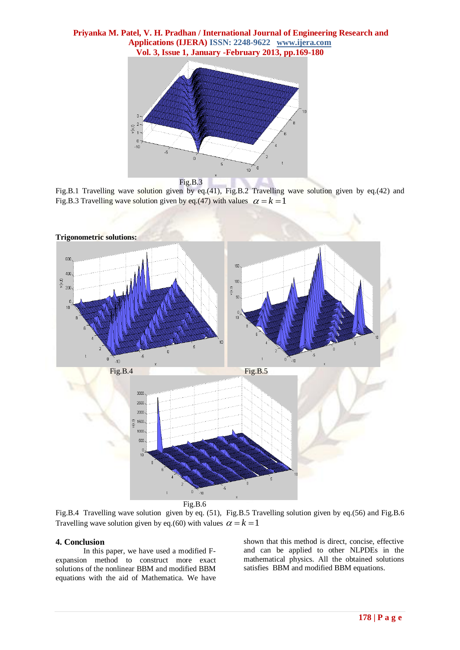

Fig.B.1 Travelling wave solution given by eq.(41), Fig.B.2 Travelling wave solution given by eq.(42) and Fig.B.3 Travelling wave solution given by eq.(47) with values  $\alpha = k = 1$ 



Fig.B.6

Fig.B.4 Travelling wave solution given by eq. (51), Fig.B.5 Travelling solution given by eq.(56) and Fig.B.6 Travelling wave solution given by eq.(60) with values  $\alpha = k = 1$ 

#### **4. Conclusion**

In this paper, we have used a modified Fexpansion method to construct more exact solutions of the nonlinear BBM and modified BBM equations with the aid of Mathematica. We have

shown that this method is direct, concise, effective and can be applied to other NLPDEs in the mathematical physics. All the obtained solutions satisfies BBM and modified BBM equations.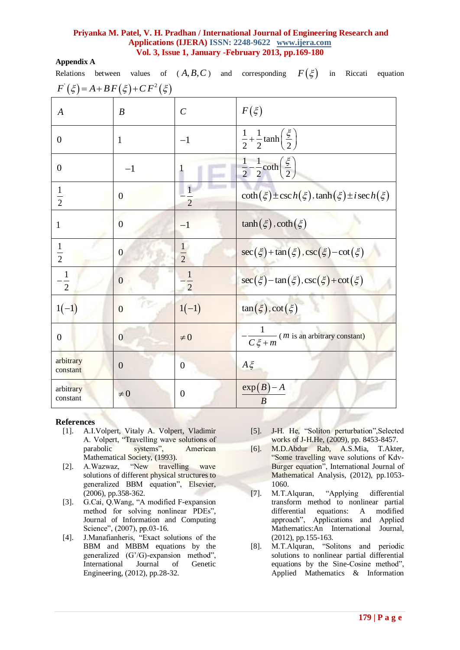## **Appendix A**

| Relations                          |                      |                                | between values of $(A, B, C)$ and corresponding $F(\xi)$ in Riccati equation |
|------------------------------------|----------------------|--------------------------------|------------------------------------------------------------------------------|
| $F(\xi) = A + BF(\xi) + CF^2(\xi)$ |                      |                                |                                                                              |
| $\boldsymbol{A}$                   | $\boldsymbol{B}$     | $\mathcal{C}$                  | $F(\xi)$                                                                     |
| $\boldsymbol{0}$                   | $\mathbf{1}$         | $-1$                           | $\frac{1}{2} + \frac{1}{2} \tanh\left(\frac{\xi}{2}\right)$                  |
| $\overline{0}$                     | $-1$                 | $\mathbf{1}$                   | $\frac{1}{2} - \frac{1}{2} \coth\left(\frac{\xi}{2}\right)$                  |
| $\frac{1}{2}$                      | $\boldsymbol{0}$     | $\mathbf{1}$<br>$\overline{2}$ | $\coth(\xi) \pm \csc h(\xi)$ , $\tanh(\xi) \pm i \sec h(\xi)$                |
| $\mathbf{1}$                       | $\overline{0}$       | $-1$                           | $\tanh(\xi)$ , $\coth(\xi)$                                                  |
| $\frac{1}{2}$                      | $\overline{0}$       | $\frac{1}{2}$                  | $\sec(\xi) + \tan(\xi) \cdot \csc(\xi) - \cot(\xi)$                          |
| $-\frac{1}{2}$                     | $\overline{0}$       | $\frac{1}{2}$                  | $\sec(\xi) - \tan(\xi) \cdot \csc(\xi) + \cot(\xi)$                          |
| $1(-1)$                            | řΨ<br>$\overline{0}$ | $1(-1)$                        | $tan(\xi)$ , $cot(\xi)$                                                      |
| $\boldsymbol{0}$                   | $\overline{0}$       | $\neq 0$                       | $\frac{1}{C\xi+m}$ ( <i>m</i> is an arbitrary constant)                      |
| arbitrary<br>constant              | $\boldsymbol{0}$     | $\overline{0}$                 | $A \xi$                                                                      |
| arbitrary<br>constant              | $\neq 0$             | $\boldsymbol{0}$               | $exp(B)-A$<br>$\boldsymbol{B}$                                               |

#### **References**

- [1]. A.I.Volpert, Vitaly A. Volpert, Vladimir A. Volpert, "Travelling wave solutions of parabolic systems", American systems", American Mathematical Society, (1993).
- [2]. A.Wazwaz, "New travelling wave solutions of different physical structures to generalized BBM equation", Elsevier, (2006), pp.358-362.
- [3]. G.Cai, Q.Wang, "A modified F-expansion method for solving nonlinear PDEs", Journal of Information and Computing Science", (2007), pp.03-16.
- [4]. J.Manafianheris, "Exact solutions of the BBM and MBBM equations by the generalized (G'/G)-expansion method",<br>International Journal of Genetic International Journal of Genetic Engineering, (2012), pp.28-32.
- [5]. J-H. He, "Soliton perturbation",Selected works of J-H.He, (2009), pp. 8453-8457.
- [6]. M.D.Abdur Rab, A.S.Mia, T.Akter, "Some travelling wave solutions of Kdv-Burger equation", International Journal of Mathematical Analysis, (2012), pp.1053- 1060.
- [7]. M.T.Alquran, "Applying differential transform method to nonlinear partial differential equations: A modified approach", Applications and Applied Mathematics:An International Journal, (2012), pp.155-163.
- [8]. M.T.Alquran, "Solitons and periodic solutions to nonlinear partial differential equations by the Sine-Cosine method", Applied Mathematics & Information